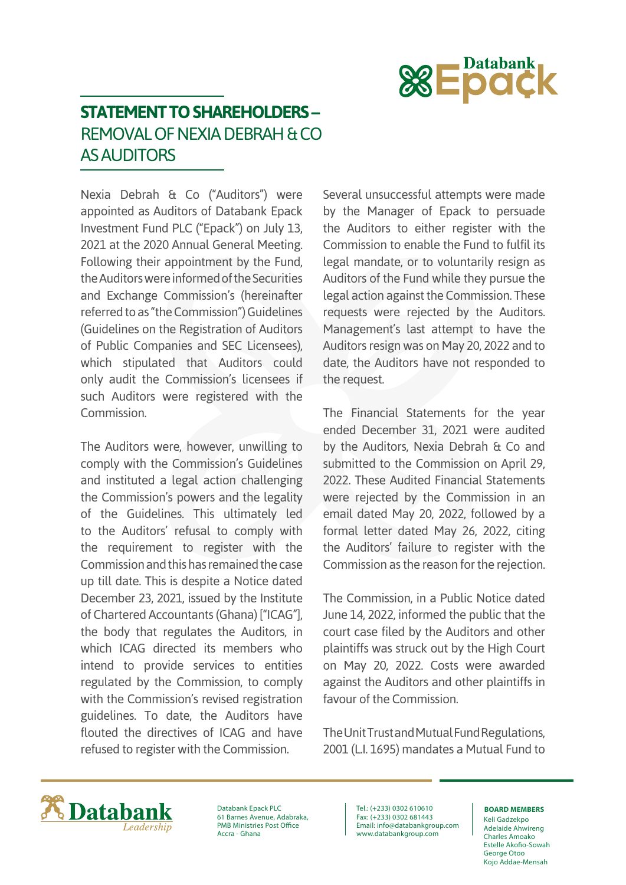

## **STATEMENT TO SHAREHOLDERS –** REMOVAL OF NEXIA DEBRAH & CO AS AUDITORS

Nexia Debrah & Co ("Auditors") were appointed as Auditors of Databank Epack Investment Fund PLC ("Epack") on July 13, 2021 at the 2020 Annual General Meeting. Following their appointment by the Fund, the Auditors were informed of the Securities and Exchange Commission's (hereinafter referred to as "the Commission") Guidelines (Guidelines on the Registration of Auditors of Public Companies and SEC Licensees), which stipulated that Auditors could only audit the Commission's licensees if such Auditors were registered with the Commission.

The Auditors were, however, unwilling to comply with the Commission's Guidelines and instituted a legal action challenging the Commission's powers and the legality of the Guidelines. This ultimately led to the Auditors' refusal to comply with the requirement to register with the Commission and this has remained the case up till date. This is despite a Notice dated December 23, 2021, issued by the Institute of Chartered Accountants (Ghana) ["ICAG"], the body that regulates the Auditors, in which ICAG directed its members who intend to provide services to entities regulated by the Commission, to comply with the Commission's revised registration guidelines. To date, the Auditors have flouted the directives of ICAG and have refused to register with the Commission.

Several unsuccessful attempts were made by the Manager of Epack to persuade the Auditors to either register with the Commission to enable the Fund to fulfil its legal mandate, or to voluntarily resign as Auditors of the Fund while they pursue the legal action against the Commission. These requests were rejected by the Auditors. Management's last attempt to have the Auditors resign was on May 20, 2022 and to date, the Auditors have not responded to the request.

The Financial Statements for the year ended December 31, 2021 were audited by the Auditors, Nexia Debrah & Co and submitted to the Commission on April 29, 2022. These Audited Financial Statements were rejected by the Commission in an email dated May 20, 2022, followed by a formal letter dated May 26, 2022, citing the Auditors' failure to register with the Commission as the reason for the rejection.

The Commission, in a Public Notice dated June 14, 2022, informed the public that the court case filed by the Auditors and other plaintiffs was struck out by the High Court on May 20, 2022. Costs were awarded against the Auditors and other plaintiffs in favour of the Commission.

The Unit Trust and Mutual Fund Regulations, 2001 (L.I. 1695) mandates a Mutual Fund to



Databank Epack PLC 61 Barnes Avenue, Adabraka, PMB Ministries Post Office Accra - Ghana

Tel.: (+233) 0302 610610 Fax: (+233) 0302 681443 Email: info@databankgroup.com www.databankgroup.com

## **BOARD MEMBERS**

Keli Gadzekpo Adelaide Ahwireng Charles Amoako Estelle Akofio-Sowah George Otoo Kojo Addae-Mensah